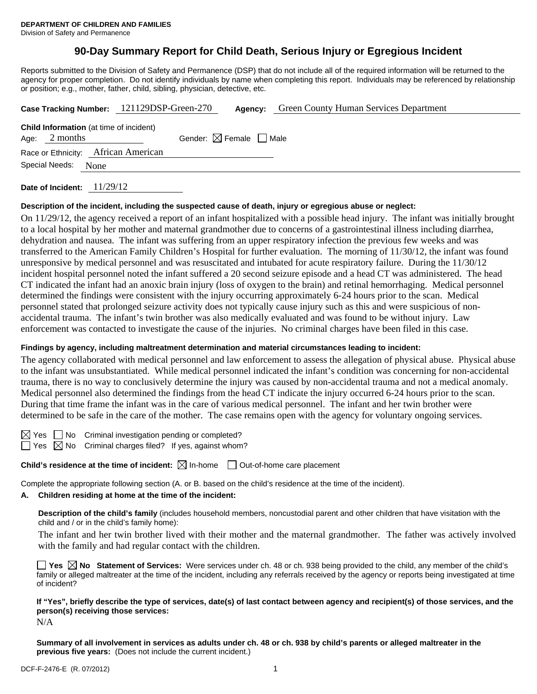# **90-Day Summary Report for Child Death, Serious Injury or Egregious Incident**

Reports submitted to the Division of Safety and Permanence (DSP) that do not include all of the required information will be returned to the agency for proper completion. Do not identify individuals by name when completing this report. Individuals may be referenced by relationship or position; e.g., mother, father, child, sibling, physician, detective, etc.

|                                     |                                                                   | Case Tracking Number: 121129DSP-Green-270 |                                        |  | <b>Agency:</b> Green County Human Services Department |
|-------------------------------------|-------------------------------------------------------------------|-------------------------------------------|----------------------------------------|--|-------------------------------------------------------|
|                                     | <b>Child Information</b> (at time of incident)<br>Age: $2$ months |                                           | Gender: $\boxtimes$ Female $\Box$ Male |  |                                                       |
| Race or Ethnicity: African American |                                                                   |                                           |                                        |  |                                                       |
|                                     | Special Needs:<br>None                                            |                                           |                                        |  |                                                       |

**Date of Incident:** 11/29/12

# **Description of the incident, including the suspected cause of death, injury or egregious abuse or neglect:**

On 11/29/12, the agency received a report of an infant hospitalized with a possible head injury. The infant was initially brought to a local hospital by her mother and maternal grandmother due to concerns of a gastrointestinal illness including diarrhea, dehydration and nausea. The infant was suffering from an upper respiratory infection the previous few weeks and was transferred to the American Family Children's Hospital for further evaluation. The morning of 11/30/12, the infant was found unresponsive by medical personnel and was resuscitated and intubated for acute respiratory failure. During the 11/30/12 incident hospital personnel noted the infant suffered a 20 second seizure episode and a head CT was administered. The head CT indicated the infant had an anoxic brain injury (loss of oxygen to the brain) and retinal hemorrhaging. Medical personnel determined the findings were consistent with the injury occurring approximately 6-24 hours prior to the scan. Medical personnel stated that prolonged seizure activity does not typically cause injury such as this and were suspicious of nonaccidental trauma. The infant's twin brother was also medically evaluated and was found to be without injury. Law enforcement was contacted to investigate the cause of the injuries. No criminal charges have been filed in this case.

# **Findings by agency, including maltreatment determination and material circumstances leading to incident:**

The agency collaborated with medical personnel and law enforcement to assess the allegation of physical abuse. Physical abuse to the infant was unsubstantiated. While medical personnel indicated the infant's condition was concerning for non-accidental trauma, there is no way to conclusively determine the injury was caused by non-accidental trauma and not a medical anomaly. Medical personnel also determined the findings from the head CT indicate the injury occurred 6-24 hours prior to the scan. During that time frame the infant was in the care of various medical personnel. The infant and her twin brother were determined to be safe in the care of the mother. The case remains open with the agency for voluntary ongoing services.

 $\boxtimes$  Yes  $\Box$  No Criminal investigation pending or completed?

 $\Box$  Yes  $\boxtimes$  No Criminal charges filed? If yes, against whom?

**Child's residence at the time of incident:**  $\boxtimes$  In-home  $\Box$  Out-of-home care placement

Complete the appropriate following section (A. or B. based on the child's residence at the time of the incident).

# **A. Children residing at home at the time of the incident:**

**Description of the child's family** (includes household members, noncustodial parent and other children that have visitation with the child and / or in the child's family home):

The infant and her twin brother lived with their mother and the maternal grandmother. The father was actively involved with the family and had regular contact with the children.

**Yes**  $\boxtimes$  **No** Statement of Services: Were services under ch. 48 or ch. 938 being provided to the child, any member of the child's family or alleged maltreater at the time of the incident, including any referrals received by the agency or reports being investigated at time of incident?

**If "Yes", briefly describe the type of services, date(s) of last contact between agency and recipient(s) of those services, and the person(s) receiving those services:**  N/A

**Summary of all involvement in services as adults under ch. 48 or ch. 938 by child's parents or alleged maltreater in the previous five years:** (Does not include the current incident.)